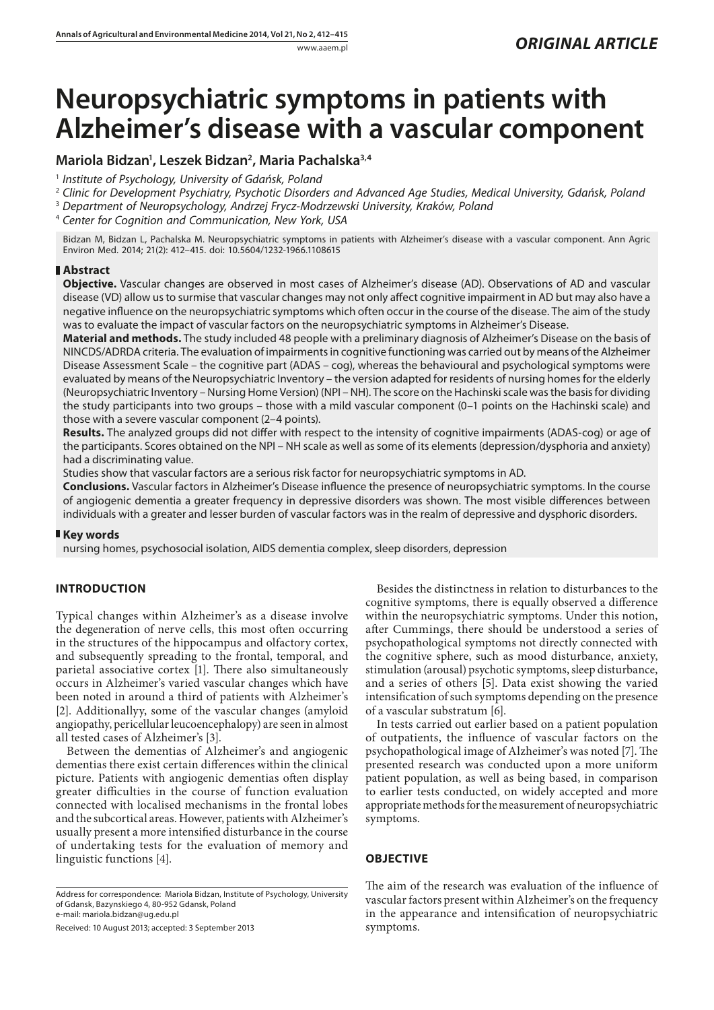# **Neuropsychiatric symptoms in patients with Alzheimer's disease with a vascular component**

## **Mariola Bidzan1 , Leszek Bidzan2 , Maria Pachalska3,4**

- 1  *Institute of Psychology, University of Gdańsk, Poland*
- 2  *Clinic for Development Psychiatry, Psychotic Disorders and Advanced Age Studies, Medical University, Gdańsk, Poland*
- 3  *Department of Neuropsychology, Andrzej Frycz-Modrzewski University, Kraków, Poland*
- 4  *Center for Cognition and Communication, New York, USA*

Bidzan M, Bidzan L, Pachalska M. Neuropsychiatric symptoms in patients with Alzheimer's disease with a vascular component. Ann Agric Environ Med. 2014; 21(2): 412–415. doi: 10.5604/1232-1966.1108615

### **Abstract**

**Objective.** Vascular changes are observed in most cases of Alzheimer's disease (AD). Observations of AD and vascular disease (VD) allow us to surmise that vascular changes may not only affect cognitive impairment in AD but may also have a negative influence on the neuropsychiatric symptoms which often occur in the course of the disease. The aim of the study was to evaluate the impact of vascular factors on the neuropsychiatric symptoms in Alzheimer's Disease.

**Material and methods.** The study included 48 people with a preliminary diagnosis of Alzheimer's Disease on the basis of NINCDS/ADRDA criteria. The evaluation of impairments in cognitive functioning was carried out by means of the Alzheimer Disease Assessment Scale – the cognitive part (ADAS – cog), whereas the behavioural and psychological symptoms were evaluated by means of the Neuropsychiatric Inventory – the version adapted for residents of nursing homes for the elderly (Neuropsychiatric Inventory – Nursing Home Version) (NPI – NH). The score on the Hachinski scale was the basis for dividing the study participants into two groups – those with a mild vascular component (0–1 points on the Hachinski scale) and those with a severe vascular component (2–4 points).

**Results.** The analyzed groups did not differ with respect to the intensity of cognitive impairments (ADAS-cog) or age of the participants. Scores obtained on the NPI – NH scale as well as some of its elements (depression/dysphoria and anxiety) had a discriminating value.

Studies show that vascular factors are a serious risk factor for neuropsychiatric symptoms in AD.

**Conclusions.** Vascular factors in Alzheimer's Disease influence the presence of neuropsychiatric symptoms. In the course of angiogenic dementia a greater frequency in depressive disorders was shown. The most visible differences between individuals with a greater and lesser burden of vascular factors was in the realm of depressive and dysphoric disorders.

## **Key words**

nursing homes, psychosocial isolation, AIDS dementia complex, sleep disorders, depression

## **INTRODUCTION**

Typical changes within Alzheimer's as a disease involve the degeneration of nerve cells, this most often occurring in the structures of the hippocampus and olfactory cortex, and subsequently spreading to the frontal, temporal, and parietal associative cortex [1]. There also simultaneously occurs in Alzheimer's varied vascular changes which have been noted in around a third of patients with Alzheimer's [2]. Additionallyy, some of the vascular changes (amyloid angiopathy, pericellular leucoencephalopy) are seen in almost all tested cases of Alzheimer's [3].

Between the dementias of Alzheimer's and angiogenic dementias there exist certain differences within the clinical picture. Patients with angiogenic dementias often display greater difficulties in the course of function evaluation connected with localised mechanisms in the frontal lobes and the subcortical areas. However, patients with Alzheimer's usually present a more intensified disturbance in the course of undertaking tests for the evaluation of memory and linguistic functions [4].

Address for correspondence: Mariola Bidzan, Institute of Psychology, University of Gdansk, Bazynskiego 4, 80-952 Gdansk, Poland e-mail: mariola.bidzan@ug.edu.pl

Received: 10 August 2013; accepted: 3 September 2013

Besides the distinctness in relation to disturbances to the cognitive symptoms, there is equally observed a difference within the neuropsychiatric symptoms. Under this notion, after Cummings, there should be understood a series of psychopathological symptoms not directly connected with the cognitive sphere, such as mood disturbance, anxiety, stimulation (arousal) psychotic symptoms, sleep disturbance, and a series of others [5]. Data exist showing the varied intensification of such symptoms depending on the presence of a vascular substratum [6].

In tests carried out earlier based on a patient population of outpatients, the influence of vascular factors on the psychopathological image of Alzheimer's was noted [7]. The presented research was conducted upon a more uniform patient population, as well as being based, in comparison to earlier tests conducted, on widely accepted and more appropriate methods for the measurement of neuropsychiatric symptoms.

## **OBJECTIVE**

The aim of the research was evaluation of the influence of vascular factors present within Alzheimer's on the frequency in the appearance and intensification of neuropsychiatric symptoms.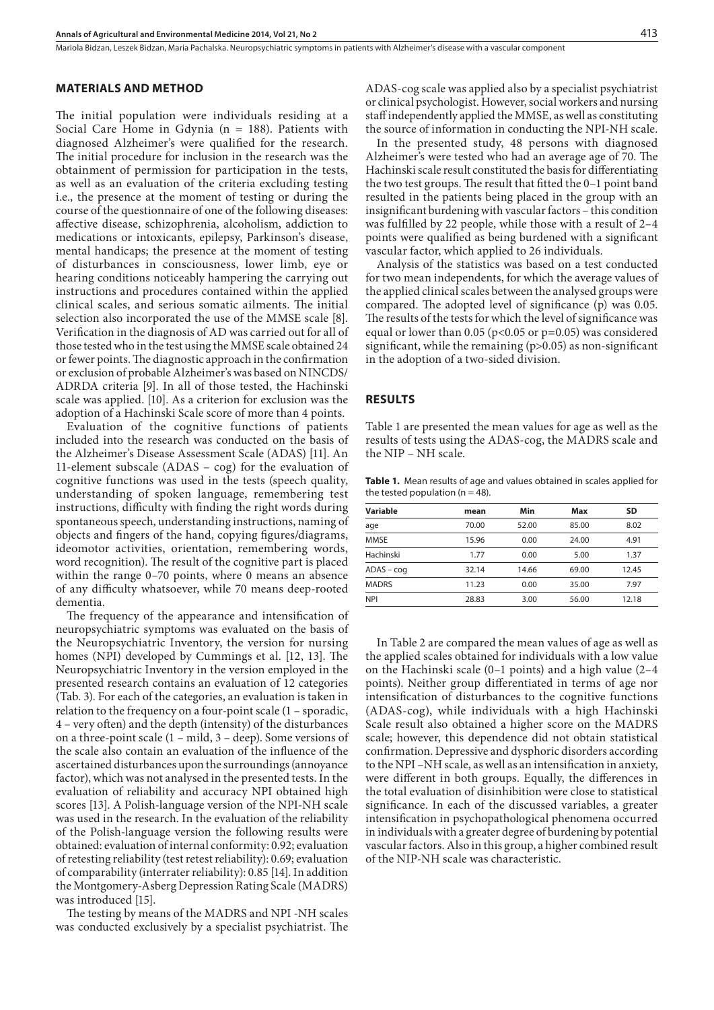#### **MATERIALS AND METHOD**

The initial population were individuals residing at a Social Care Home in Gdynia (n = 188). Patients with diagnosed Alzheimer's were qualified for the research. The initial procedure for inclusion in the research was the obtainment of permission for participation in the tests, as well as an evaluation of the criteria excluding testing i.e., the presence at the moment of testing or during the course of the questionnaire of one of the following diseases: affective disease, schizophrenia, alcoholism, addiction to medications or intoxicants, epilepsy, Parkinson's disease, mental handicaps; the presence at the moment of testing of disturbances in consciousness, lower limb, eye or hearing conditions noticeably hampering the carrying out instructions and procedures contained within the applied clinical scales, and serious somatic ailments. The initial selection also incorporated the use of the MMSE scale [8]. Verification in the diagnosis of AD was carried out for all of those tested who in the test using the MMSE scale obtained 24 or fewer points. The diagnostic approach in the confirmation or exclusion of probable Alzheimer's was based on NINCDS/ ADRDA criteria [9]. In all of those tested, the Hachinski scale was applied. [10]. As a criterion for exclusion was the adoption of a Hachinski Scale score of more than 4 points.

Evaluation of the cognitive functions of patients included into the research was conducted on the basis of the Alzheimer's Disease Assessment Scale (ADAS) [11]. An 11-element subscale (ADAS – cog) for the evaluation of cognitive functions was used in the tests (speech quality, understanding of spoken language, remembering test instructions, difficulty with finding the right words during spontaneous speech, understanding instructions, naming of objects and fingers of the hand, copying figures/diagrams, ideomotor activities, orientation, remembering words, word recognition). The result of the cognitive part is placed within the range 0–70 points, where 0 means an absence of any difficulty whatsoever, while 70 means deep-rooted dementia.

The frequency of the appearance and intensification of neuropsychiatric symptoms was evaluated on the basis of the Neuropsychiatric Inventory, the version for nursing homes (NPI) developed by Cummings et al. [12, 13]. The Neuropsychiatric Inventory in the version employed in the presented research contains an evaluation of 12 categories (Tab. 3). For each of the categories, an evaluation is taken in relation to the frequency on a four-point scale (1 – sporadic, 4 – very often) and the depth (intensity) of the disturbances on a three-point scale (1 – mild, 3 – deep). Some versions of the scale also contain an evaluation of the influence of the ascertained disturbances upon the surroundings (annoyance factor), which was not analysed in the presented tests. In the evaluation of reliability and accuracy NPI obtained high scores [13]. A Polish-language version of the NPI-NH scale was used in the research. In the evaluation of the reliability of the Polish-language version the following results were obtained: evaluation of internal conformity: 0.92; evaluation of retesting reliability (test retest reliability): 0.69; evaluation of comparability (interrater reliability): 0.85 [14]. In addition the Montgomery-Asberg Depression Rating Scale (MADRS) was introduced [15].

The testing by means of the MADRS and NPI -NH scales was conducted exclusively by a specialist psychiatrist. The ADAS-cog scale was applied also by a specialist psychiatrist or clinical psychologist. However, social workers and nursing staff independently applied the MMSE, as well as constituting the source of information in conducting the NPI-NH scale.

In the presented study, 48 persons with diagnosed Alzheimer's were tested who had an average age of 70. The Hachinski scale result constituted the basis for differentiating the two test groups. The result that fitted the 0–1 point band resulted in the patients being placed in the group with an insignificant burdening with vascular factors – this condition was fulfilled by 22 people, while those with a result of 2–4 points were qualified as being burdened with a significant vascular factor, which applied to 26 individuals.

Analysis of the statistics was based on a test conducted for two mean independents, for which the average values of the applied clinical scales between the analysed groups were compared. The adopted level of significance (p) was 0.05. The results of the tests for which the level of significance was equal or lower than 0.05 ( $p<0.05$  or  $p=0.05$ ) was considered significant, while the remaining  $(p>0.05)$  as non-significant in the adoption of a two-sided division.

#### **RESULTS**

Table 1 are presented the mean values for age as well as the results of tests using the ADAS-cog, the MADRS scale and the NIP – NH scale.

**Table 1.** Mean results of age and values obtained in scales applied for the tested population ( $n = 48$ ).

| Variable     | mean  | Min   | Max   | SD    |
|--------------|-------|-------|-------|-------|
| age          | 70.00 | 52.00 | 85.00 | 8.02  |
| <b>MMSE</b>  | 15.96 | 0.00  | 24.00 | 4.91  |
| Hachinski    | 1.77  | 0.00  | 5.00  | 1.37  |
| $ADAS - coq$ | 32.14 | 14.66 | 69.00 | 12.45 |
| <b>MADRS</b> | 11.23 | 0.00  | 35.00 | 7.97  |
| <b>NPI</b>   | 28.83 | 3.00  | 56.00 | 12.18 |

In Table 2 are compared the mean values of age as well as the applied scales obtained for individuals with a low value on the Hachinski scale (0–1 points) and a high value (2–4 points). Neither group differentiated in terms of age nor intensification of disturbances to the cognitive functions (ADAS-cog), while individuals with a high Hachinski Scale result also obtained a higher score on the MADRS scale; however, this dependence did not obtain statistical confirmation. Depressive and dysphoric disorders according to the NPI –NH scale, as well as an intensification in anxiety, were different in both groups. Equally, the differences in the total evaluation of disinhibition were close to statistical significance. In each of the discussed variables, a greater intensification in psychopathological phenomena occurred in individuals with a greater degree of burdening by potential vascular factors. Also in this group, a higher combined result of the NIP-NH scale was characteristic.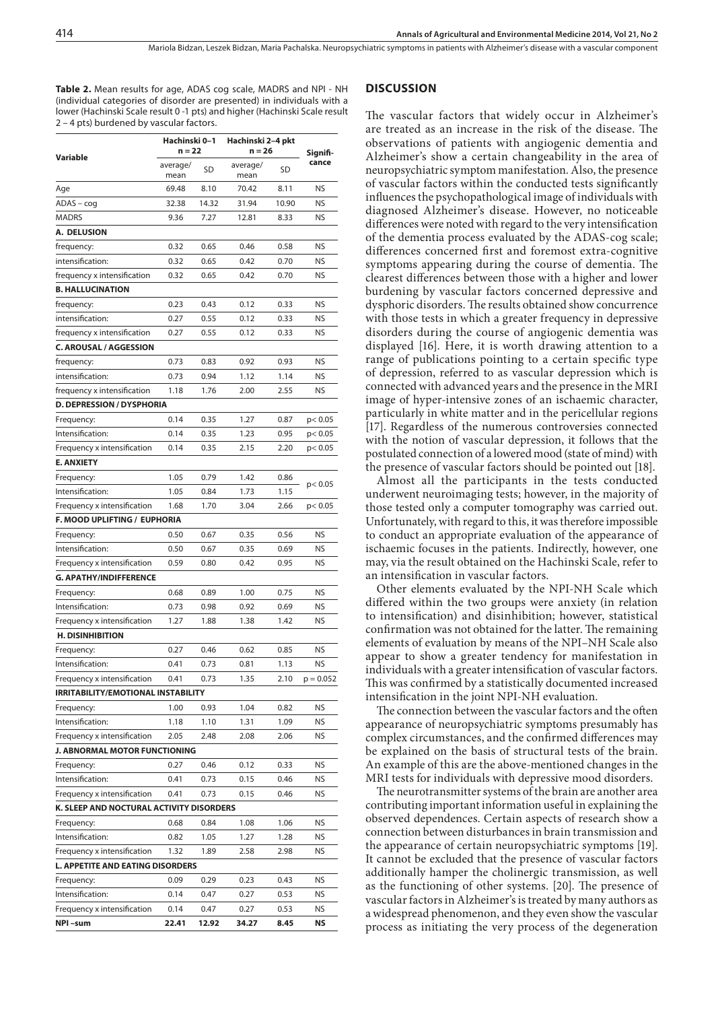Mariola Bidzan, Leszek Bidzan, Maria Pachalska . Neuropsychiatric symptoms in patients with Alzheimer's disease with a vascular component

**Table 2.** Mean results for age, ADAS cog scale, MADRS and NPI - NH (individual categories of disorder are presented) in individuals with a lower (Hachinski Scale result 0 -1 pts) and higher (Hachinski Scale result 2 – 4 pts) burdened by vascular factors.

| Variable                                  | Hachinski 0-1<br>$n = 22$ |       | Hachinski 2-4 pkt<br>n = 26 |       | Signifi-    |
|-------------------------------------------|---------------------------|-------|-----------------------------|-------|-------------|
|                                           | average/<br>mean          | SD    | average/<br>mean            | SD    | cance       |
| Age                                       | 69.48                     | 8.10  | 70.42                       | 8.11  | NS          |
| $ADAS - cog$                              | 32.38                     | 14.32 | 31.94                       | 10.90 | NS          |
| <b>MADRS</b>                              | 9.36                      | 7.27  | 12.81                       | 8.33  | NS          |
| A. DELUSION                               |                           |       |                             |       |             |
| frequency:                                | 0.32                      | 0.65  | 0.46                        | 0.58  | NS          |
| intensification:                          | 0.32                      | 0.65  | 0.42                        | 0.70  | <b>NS</b>   |
| frequency x intensification               | 0.32                      | 0.65  | 0.42                        | 0.70  | NS          |
| <b>B. HALLUCINATION</b>                   |                           |       |                             |       |             |
| frequency:                                | 0.23                      | 0.43  | 0.12                        | 0.33  | NS          |
| intensification:                          | 0.27                      | 0.55  | 0.12                        | 0.33  | <b>NS</b>   |
| frequency x intensification               | 0.27                      | 0.55  | 0.12                        | 0.33  | NS          |
| <b>C. AROUSAL / AGGESSION</b>             |                           |       |                             |       |             |
| frequency:                                | 0.73                      | 0.83  | 0.92                        | 0.93  | <b>NS</b>   |
| intensification:                          | 0.73                      | 0.94  | 1.12                        | 1.14  | <b>NS</b>   |
| frequency x intensification               | 1.18                      | 1.76  | 2.00                        | 2.55  | <b>NS</b>   |
| <b>D. DEPRESSION / DYSPHORIA</b>          |                           |       |                             |       |             |
| Frequency:                                | 0.14                      | 0.35  | 1.27                        | 0.87  | p < 0.05    |
| Intensification:                          | 0.14                      | 0.35  | 1.23                        | 0.95  | p < 0.05    |
| Frequency x intensification               | 0.14                      | 0.35  | 2.15                        | 2.20  | p < 0.05    |
| <b>E. ANXIETY</b>                         |                           |       |                             |       |             |
| Frequency:                                | 1.05                      | 0.79  | 1.42                        | 0.86  |             |
| Intensification:                          | 1.05                      | 0.84  | 1.73                        | 1.15  | p < 0.05    |
| Frequency x intensification               | 1.68                      | 1.70  | 3.04                        | 2.66  | p < 0.05    |
| F. MOOD UPLIFTING / EUPHORIA              |                           |       |                             |       |             |
| Frequency:                                | 0.50                      | 0.67  | 0.35                        | 0.56  | NS          |
| Intensification:                          | 0.50                      | 0.67  | 0.35                        | 0.69  | <b>NS</b>   |
| Frequency x intensification               | 0.59                      | 0.80  | 0.42                        | 0.95  | <b>NS</b>   |
| <b>G. APATHY/INDIFFERENCE</b>             |                           |       |                             |       |             |
| Frequency:                                | 0.68                      | 0.89  | 1.00                        | 0.75  | NS          |
| Intensification:                          | 0.73                      | 0.98  | 0.92                        | 0.69  | NS          |
| Frequency x intensification               | 1.27                      | 1.88  | 1.38                        | 1.42  | NS          |
| <b>H. DISINHIBITION</b>                   |                           |       |                             |       |             |
| Frequency:                                | 0.27                      | 0.46  | 0.62                        | 0.85  | NS          |
| Intensification:                          | 0.41                      | 0.73  | 0.81                        | 1.13  | <b>NS</b>   |
| Frequency x intensification               | 0.41                      | 0.73  | 1.35                        | 2.10  | $p = 0.052$ |
| <b>IRRITABILITY/EMOTIONAL INSTABILITY</b> |                           |       |                             |       |             |
| Frequency:                                | 1.00                      | 0.93  | 1.04                        | 0.82  | NS          |
| Intensification:                          | 1.18                      | 1.10  | 1.31                        | 1.09  | <b>NS</b>   |
| Frequency x intensification               | 2.05                      | 2.48  | 2.08                        | 2.06  | <b>NS</b>   |
| J. ABNORMAL MOTOR FUNCTIONING             |                           |       |                             |       |             |
| Frequency:                                | 0.27                      | 0.46  | 0.12                        | 0.33  | NS          |
| Intensification:                          | 0.41                      | 0.73  | 0.15                        | 0.46  | NS          |
| Frequency x intensification               | 0.41                      | 0.73  | 0.15                        | 0.46  | NS          |
| K. SLEEP AND NOCTURAL ACTIVITY DISORDERS  |                           |       |                             |       |             |
| Frequency:                                | 0.68                      | 0.84  | 1.08                        | 1.06  | NS          |
| Intensification:                          | 0.82                      | 1.05  | 1.27                        | 1.28  | NS          |
| Frequency x intensification               | 1.32                      | 1.89  | 2.58                        | 2.98  | NS          |
| <b>L. APPETITE AND EATING DISORDERS</b>   |                           |       |                             |       |             |
| Frequency:                                | 0.09                      | 0.29  | 0.23                        | 0.43  | NS          |
| Intensification:                          | 0.14                      | 0.47  | 0.27                        | 0.53  | NS          |
| Frequency x intensification               | 0.14                      | 0.47  | 0.27                        | 0.53  | NS          |
| NPI-sum                                   | 22.41                     | 12.92 | 34.27                       | 8.45  | NS          |

#### **DISCUSSION**

The vascular factors that widely occur in Alzheimer's are treated as an increase in the risk of the disease. The observations of patients with angiogenic dementia and Alzheimer's show a certain changeability in the area of neuropsychiatric symptom manifestation. Also, the presence of vascular factors within the conducted tests significantly influences the psychopathological image of individuals with diagnosed Alzheimer's disease. However, no noticeable differences were noted with regard to the very intensification of the dementia process evaluated by the ADAS-cog scale; differences concerned first and foremost extra-cognitive symptoms appearing during the course of dementia. The clearest differences between those with a higher and lower burdening by vascular factors concerned depressive and dysphoric disorders. The results obtained show concurrence with those tests in which a greater frequency in depressive disorders during the course of angiogenic dementia was displayed [16]. Here, it is worth drawing attention to a range of publications pointing to a certain specific type of depression, referred to as vascular depression which is connected with advanced years and the presence in the MRI image of hyper-intensive zones of an ischaemic character, particularly in white matter and in the pericellular regions [17]. Regardless of the numerous controversies connected with the notion of vascular depression, it follows that the postulated connection of a lowered mood (state of mind) with the presence of vascular factors should be pointed out [18].

Almost all the participants in the tests conducted underwent neuroimaging tests; however, in the majority of those tested only a computer tomography was carried out. Unfortunately, with regard to this, it was therefore impossible to conduct an appropriate evaluation of the appearance of ischaemic focuses in the patients. Indirectly, however, one may, via the result obtained on the Hachinski Scale, refer to an intensification in vascular factors.

Other elements evaluated by the NPI-NH Scale which differed within the two groups were anxiety (in relation to intensification) and disinhibition; however, statistical confirmation was not obtained for the latter. The remaining elements of evaluation by means of the NPI–NH Scale also appear to show a greater tendency for manifestation in individuals with a greater intensification of vascular factors. This was confirmed by a statistically documented increased intensification in the joint NPI-NH evaluation.

The connection between the vascular factors and the often appearance of neuropsychiatric symptoms presumably has complex circumstances, and the confirmed differences may be explained on the basis of structural tests of the brain. An example of this are the above-mentioned changes in the MRI tests for individuals with depressive mood disorders.

The neurotransmitter systems of the brain are another area contributing important information useful in explaining the observed dependences. Certain aspects of research show a connection between disturbances in brain transmission and the appearance of certain neuropsychiatric symptoms [19]. It cannot be excluded that the presence of vascular factors additionally hamper the cholinergic transmission, as well as the functioning of other systems. [20]. The presence of vascular factors in Alzheimer's is treated by many authors as a widespread phenomenon, and they even show the vascular process as initiating the very process of the degeneration